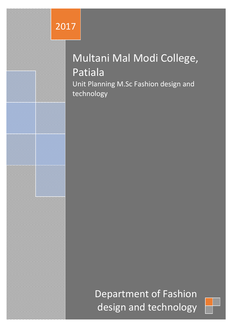# 2017

# Multani Mal Modi College, Patiala Unit Planning M.Sc Fashion design and technology

Department of Fashion design and technology

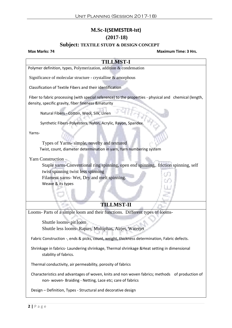## **M.Sc-I(SEMESTER-Ist) (2017-18)**

#### **Subject: TEXTILE STUDY & DESIGN CONCEPT**

#### **Max Marks: 74 Maximum Time: 3 Hrs.**

# **TILLMST-I** Polymer definition, types, Polymerization, addition & condensation Significance of molecular structure - crystalline & amorphous Classification of Textile Fibers and their identification Fiber to fabric processing (with special reference) to the properties - physical and chemical (length, density, specific gravity, fiber fineness &maturity Natural Fibers - Cotton, Wool, Silk, Linen Synthetic Fibers-Polyesters, Nylon, Acrylic, Rayon, Spandex. Yarns-Types of Yarns- simple, novelty and textured Twist, count, diameter determination in yarn, Yarn numbering system Yarn Construction – Staple yarns-Conventional ring spinning, open end spinning, friction spinning, self twist spinning twist less spinning Filament yarns- Wet, Dry and melt spinning. Weave & its types **TILLMST-II** Looms- Parts of a simple loom and their functions. Different types of looms-Shuttle looms- pit loom Shuttle less looms- Rapier, Multiphas, Airjet, Waterjet Fabric Construction -, ends & picks, count, weight, thickness determination, Fabric defects. Shrinkage in fabrics- Laundering shrinkage, Thermal shrinkage &Heat setting in dimensional stability of fabrics. Thermal conductivity, air permeability, porosity of fabrics Characteristics and advantages of woven, knits and non woven fabrics; methods of production of

non- woven- Braiding - Netting, Lace etc; care of fabrics

Design – Definition, Types - Structural and decorative design

**2 |** P a g e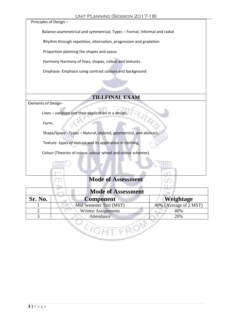Principles of Design –

Balance-asymmetrical and symmetrical, Types – Formal, Informal and radial

Rhythm-through repetition, alternation, progression and gradation

Proportion-planning the shapes and space.

Harmony-Harmony of lines, shapes, colour and textures.

Emphasis- Emphasis using contrast colours and background

## **TILLFINAL EXAM**

Elements of Design-

Lines – varieties and their application in a design,

Form,

T

Shape/Space - Types – Natural, stylized, geometrical, and abstract.

Texture- types of texture and its application in clothing.

Colour (Theories of colour, colour wheel and colour schemes).

| <b>Mode of Assessment</b> |                            |                        |  |  |
|---------------------------|----------------------------|------------------------|--|--|
| Sr. No.                   | <b>Component</b>           | Weightage              |  |  |
|                           | Mid Semester Test (MST)    | 40% (Average of 2 MST) |  |  |
|                           | <b>Written Assignments</b> | 40%                    |  |  |
|                           | 20%<br>Attendance          |                        |  |  |
|                           |                            |                        |  |  |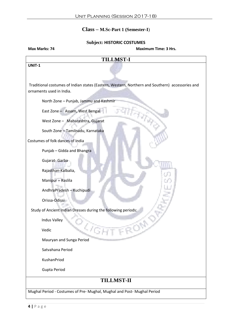### **Class – M.Sc-Part 1 (Semester-I**)

#### **Subject: HISTORIC COSTUMES**

| <b>TILLMST-I</b><br>Traditional costumes of Indian states (Eastern, Western, Northern and Southern) accessories and |
|---------------------------------------------------------------------------------------------------------------------|
|                                                                                                                     |
|                                                                                                                     |
|                                                                                                                     |
|                                                                                                                     |
|                                                                                                                     |
|                                                                                                                     |
|                                                                                                                     |
|                                                                                                                     |
|                                                                                                                     |
|                                                                                                                     |
|                                                                                                                     |
|                                                                                                                     |
|                                                                                                                     |
|                                                                                                                     |
|                                                                                                                     |
|                                                                                                                     |
|                                                                                                                     |
| Study of Ancient Indian Dresses during the following periods:                                                       |
|                                                                                                                     |
| <b>UGHT FROM</b>                                                                                                    |
|                                                                                                                     |
|                                                                                                                     |
|                                                                                                                     |
|                                                                                                                     |
| <b>TILLMST-II</b>                                                                                                   |
| Mughal Period - Costumes of Pre- Mughal, Mughal and Post- Mughal Period                                             |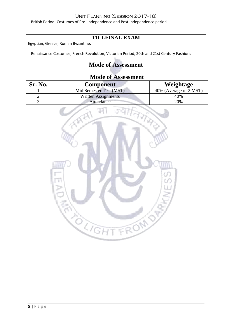British Period -Costumes of Pre- independence and Post Independence period

# **TILLFINAL EXAM**

Egyptian, Greece, Roman Byzantine.

Renaissance Costumes, French Revolution, Victorian Period, 20th and 21st Century Fashions

| <b>Mode of Assessment</b> |                            |                        |  |
|---------------------------|----------------------------|------------------------|--|
| Sr. No.                   | <b>Component</b>           | Weightage              |  |
|                           | Mid Semester Test (MST)    | 40% (Average of 2 MST) |  |
|                           | <b>Written Assignments</b> | 40%                    |  |
|                           | Attendance                 | 20%                    |  |

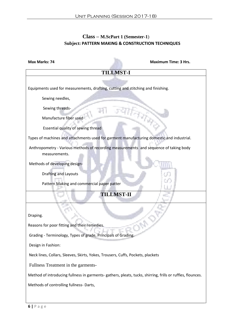### **Class – M.ScPart 1 (Semester-1**)  **Subject: PATTERN MAKING & CONSTRUCTION TECHNIQUES**

| <b>Max Marks: 74</b>                                                                                       | <b>Maximum Time: 3 Hrs.</b> |  |  |
|------------------------------------------------------------------------------------------------------------|-----------------------------|--|--|
| <b>TILLMST-I</b>                                                                                           |                             |  |  |
| Equipments used for measurements, drafting, cutting and stitching and finishing.                           |                             |  |  |
| Sewing needles,                                                                                            |                             |  |  |
| Sewing threads-<br>Manufacture fiber used                                                                  |                             |  |  |
| Essential quality of sewing thread                                                                         |                             |  |  |
| Types of machines and attachments used for garment manufacturing domestic and industrial.                  |                             |  |  |
| Anthropometry - Various methods of recording measurements and sequence of taking body<br>measurements.     |                             |  |  |
| Methods of developing design-                                                                              |                             |  |  |
| <b>Drafting and Layouts</b>                                                                                |                             |  |  |
| Pattern Making and commercial paper patter                                                                 |                             |  |  |
| <b>TILLMST-II</b>                                                                                          |                             |  |  |
| Draping.                                                                                                   |                             |  |  |
| Reasons for poor fitting and their remedies.                                                               |                             |  |  |
| Grading - Terminology, Types of grade, Principals of Grading.                                              |                             |  |  |
| Design in Fashion:                                                                                         |                             |  |  |
| Neck lines, Collars, Sleeves, Skirts, Yokes, Trousers, Cuffs, Pockets, plackets                            |                             |  |  |
| Fullness Treatment in the garments-                                                                        |                             |  |  |
| Method of introducing fullness in garments- gathers, pleats, tucks, shirring, frills or ruffles, flounces. |                             |  |  |
| Methods of controlling fullness- Darts,                                                                    |                             |  |  |
|                                                                                                            |                             |  |  |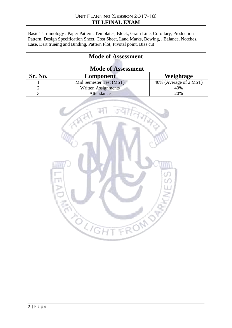# **TILLFINAL EXAM**

Basic Terminology : Paper Pattern, Templates, Block, Grain Line, Corollary, Production Pattern, Design Specification Sheet, Cost Sheet, Land Marks, Bowing, , Balance, Notches, Ease, Dart trueing and Binding, Pattern Plot, Pivotal point, Bias cut

| <b>Mode of Assessment</b> |                            |                        |  |
|---------------------------|----------------------------|------------------------|--|
| Sr. No.                   | <b>Component</b>           | Weightage              |  |
|                           | Mid Semester Test (MST)    | 40% (Average of 2 MST) |  |
|                           | <b>Written Assignments</b> | 40%                    |  |
|                           | Attendance                 | 20%                    |  |

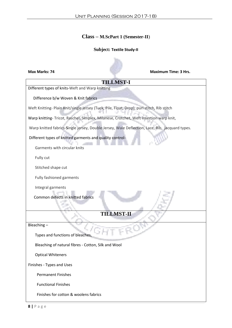#### **Class – M.ScPart 1 (Semester-II**)

#### **Subject: Textile Study-II**

| Max Marks: 74                                                                                  |                   | <b>Maximum Time: 3 Hrs.</b> |
|------------------------------------------------------------------------------------------------|-------------------|-----------------------------|
|                                                                                                | <b>TILLMST-I</b>  |                             |
| Different types of knits-Weft and Warp knitting                                                |                   |                             |
| Difference b/w Woven & Knit fabrics                                                            |                   |                             |
| Weft Knitting- Plain Knit/single jersey (Tuck, Pile, Float, Drop), purl stitch, Rib stitch     |                   |                             |
| Warp knitting-Tricot, Raschel, Simplex, Milanese, Crotchet, Weft insertion warp knit,          |                   |                             |
| Warp knitted fabrics-Single jersey, Double Jersey, Wale Deflection, Lace, Rib, jacquard types. |                   |                             |
| Different types of knitted garments and quality control-                                       |                   |                             |
| Garments with circular knits                                                                   |                   |                             |
| Fully cut                                                                                      |                   |                             |
| Stitched shape cut                                                                             |                   |                             |
| Fully fashioned garments                                                                       |                   |                             |
| Integral garments<br>Common defects in knitted fabrics                                         |                   |                             |
|                                                                                                | <b>TILLMST-II</b> |                             |
| Bleaching-                                                                                     |                   |                             |
| Types and functions of bleaches,                                                               |                   |                             |
| Bleaching of natural fibres - Cotton, Silk and Wool                                            |                   |                             |
| <b>Optical Whiteners</b>                                                                       |                   |                             |
| Finishes - Types and Uses                                                                      |                   |                             |
| <b>Permanent Finishes</b>                                                                      |                   |                             |
| <b>Functional Finishes</b>                                                                     |                   |                             |
| Finishes for cotton & woolens fabrics                                                          |                   |                             |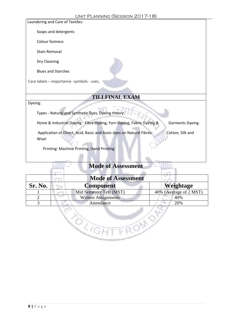

| <b>Mode of Assessment</b> |                            |                        |  |  |
|---------------------------|----------------------------|------------------------|--|--|
| Sr. No.                   | Component                  | <b>Weightage</b>       |  |  |
|                           | Mid Semester Test (MST)    | 40% (Average of 2 MST) |  |  |
|                           | <b>Written Assignments</b> | 40%                    |  |  |
|                           | Attendance                 | 20%                    |  |  |

**TROND** 

eg<br>Kan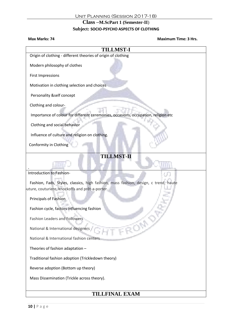#### **Class –M.ScPart 1 (Semester-II**)

#### **Subject: SOCIO-PSYCHO ASPECTS OF CLOTHING**

**Max Marks: 74 Maximum Time: 3 Hrs.**

| <b>TILLMST-I</b>                                                                    |  |  |
|-------------------------------------------------------------------------------------|--|--|
| Origin of clothing - different theories of origin of clothing                       |  |  |
| Modern philosophy of clothes                                                        |  |  |
| <b>First Impressions</b>                                                            |  |  |
| Motivation in clothing selection and choices                                        |  |  |
| Personality &self concept                                                           |  |  |
| Clothing and colour-                                                                |  |  |
| Importance of colour for different ceremonies, occasions, occupation, religion etc  |  |  |
| Clothing and social behavior                                                        |  |  |
| Influence of culture and religion on clothing.                                      |  |  |
| Conformity in Clothing                                                              |  |  |
| <b>TILLMST-II</b>                                                                   |  |  |
|                                                                                     |  |  |
| Introduction to Fashion-                                                            |  |  |
| Fashion, Fads, Styles, classics, high fashion, mass fashion, design, c trend, haute |  |  |
| uture, couturiere, knockoffs and prêt-a-porter.                                     |  |  |
| Principals of Fashion                                                               |  |  |
| Fashion cycle, factors influencing fashion                                          |  |  |
| <b>Fashion Leaders and Followers</b>                                                |  |  |
| ROP<br>National & International designers                                           |  |  |
| National & International fashion centers                                            |  |  |
| Theories of fashion adaptation -                                                    |  |  |
| Traditional fashion adoption (Trickledown theory)                                   |  |  |
| Reverse adoption (Bottom up theory)                                                 |  |  |
| Mass Dissemination (Trickle across theory).                                         |  |  |
|                                                                                     |  |  |
| <b>TILLFINAL EXAM</b>                                                               |  |  |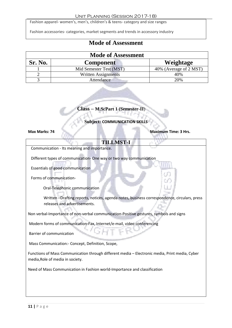#### Unit Planning (Session 2017-18)

Fashion apparel- women's, men's, children's & teens- category and size ranges

Fashion accessories- categories, market segments and trends in accessory industry

# **Mode of Assessment**

| <b>Mode of Assessment</b> |                                   |                        |  |
|---------------------------|-----------------------------------|------------------------|--|
| Sr. No.                   | <b>Component</b>                  | Weightage              |  |
|                           | Mid Semester Test (MST)           | 40% (Average of 2 MST) |  |
|                           | <b>Written Assignments</b><br>40% |                        |  |
|                           | Attendance                        | 20%                    |  |

#### **Class – M.ScPart 1 (Semester-II**)

**Subject: COMMUNICATION SKILLS**

**Max Marks: 74 Maximum Time: 3 Hrs.** 

#### **TILLMST-I**

Communication - Its meaning and importance.

Different types of communication- One way or two way communication

Essentials of good communication

Forms of communication-

Oral-Telephonic communication

 Written –Drafting reports, notices, agenda notes, business correspondence, circulars, press releases and advertisements.

Non verbal-Importance of non-verbal communication-Positive gestures, symbols and signs

Modern forms of communication-Fax, Internet/e-mail, video conferencing

Barrier of communication

Mass Communication:- Concept, Definition, Scope,

Functions of Mass Communication through different media – Electronic media, Print media, Cyber media,Role of media in society.

Need of Mass Communication in Fashion world-Importance and classification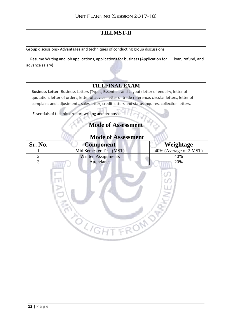# **TILLMST-II**

Group discussions- Advantages and techniques of conducting group discussions

Resume Writing and job applications, applications for business (Application for loan, refund, and advance salary)

#### **TILLFINAL EXAM**

**Business Letter-** Business Letters (Types, Essentials and Layout) letter of enquiry, letter of quotation, letter of orders, letter of advice, letter of trade reference, circular letters, letter of complaint and adjustments, sales letter, credit letters and status inquires, collection letters.

Essentials of technical report writing and proposals

| <b>Mode of Assessment</b> |                            |                        |  |
|---------------------------|----------------------------|------------------------|--|
| Sr. No.                   | <b>Component</b>           | Weightage              |  |
|                           | Mid Semester Test (MST)    | 40% (Average of 2 MST) |  |
|                           | <b>Written Assignments</b> | 40%                    |  |
|                           | Attendance                 | 20%                    |  |
|                           |                            |                        |  |

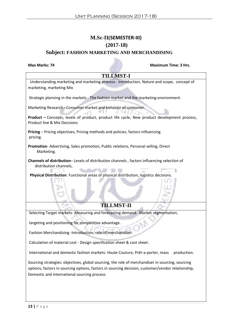# **M.Sc-II(SEMESTER-III) (2017-18)**

#### **Subject: FASHION MARKETING AND MERCHANDISING**

**Max Marks: 74 Maximum Time: 3 Hrs. TILLMST-I** Understanding marketing and marketing process- Introduction, Nature and scope, concept of marketing, marketing Mix Strategic planning in the markets - The fashion market and the marketing environment. Marketing Research - Consumer market and behavior of consumer. цÜ. **Product –** Concepts, levels of product, product life cycle, New product development process, Product line & Mix Decisions **Pricing** – Pricing objectives, Pricing methods and policies, factors influencing pricing. **Promotion**- Advertising, Sales promotion, Public relations, Personal selling, Direct Marketing. **Channels of distribution**– Levels of distribution channels , factors influencing selection of distribution channels, **The Contract Physical Distribution**: Functional areas of physical distribution, logistics decisions. **TILLMST-II** Selecting Target markets- Measuring and forecasting demand. Market segmentation, targeting and positioning for competitive advantage. Fashion Merchandising -Introduction, role of merchandiser. Calculation of material cost - Design specification sheet & cost sheet. International and domestic fashion markets: Haute Couture, Prêt-a-porter, mass production. Sourcing strategies: objectives, global sourcing, the role of merchandiser in sourcing, sourcing options, factors in sourcing options, factors in sourcing decision, customer/vendor relationship, Domestic and International sourcing process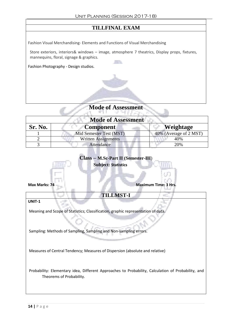## **TILLFINAL EXAM**

Fashion Visual Merchandising- Elements and Functions of Visual Merchandising

Store exteriors, interiors& windows – image, atmosphere 7 theatrics, Display props, fixtures, mannequins, floral, signage & graphics.

n Po

Fashion Photography - Design studios.



| <b>Mode of Assessment</b> |  |  |
|---------------------------|--|--|
|                           |  |  |

| <b>Mode of Assessment</b> |                            |                        |  |
|---------------------------|----------------------------|------------------------|--|
| Sr. No.                   | <b>Component</b>           | <b>Weightage</b>       |  |
|                           | Mid Semester Test (MST)    | 40% (Average of 2 MST) |  |
|                           | <b>Written Assignments</b> | 40%                    |  |
|                           | Attendance                 | 20%                    |  |



**UNIT-1**

Meaning and Scope of Statistics; Classification, graphic representation of data.

Sampling: Methods of Sampling, Sampling and Non-sampling errors.

Measures of Central Tendency; Measures of Dispersion (absolute and relative)

Probability: Elementary idea, Different Approaches to Probability, Calculation of Probability, and Theorems of Probability.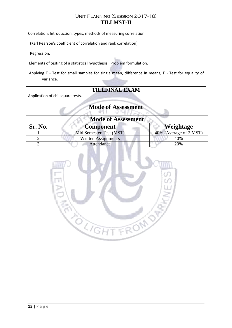#### Unit Planning (Session 2017-18)

# **TILLMST-II**

Correlation: Introduction, types, methods of measuring correlation

(Karl Pearson's coefficient of correlation and rank correlation)

Regression.

Elements of testing of a statistical hypothesis. Problem formulation.

Applying T - Test for small samples for single mean, difference in means, F - Test for equality of variance.

### **TILLFINAL EXAM**

Application of chi-square tests.

#### **Mode of Assessment** MAR BANK

The

| <b>Mode of Assessment</b> |                         |                        |
|---------------------------|-------------------------|------------------------|
| Sr. No.                   | <b>Component</b>        | <b>Weightage</b>       |
|                           | Mid Semester Test (MST) | 40% (Average of 2 MST) |
|                           | Written Assignments     | 40%                    |
|                           | Attendance              | 20%                    |

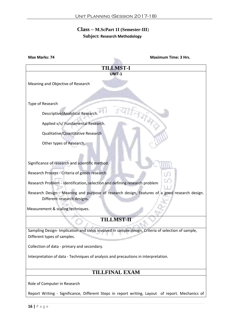#### **Class – M.ScPart 1I (Semester-III**)  **Subject: Research Methodology**

| Max Marks: 74                                                                                                                    | <b>Maximum Time: 3 Hrs.</b>                                                                      |  |
|----------------------------------------------------------------------------------------------------------------------------------|--------------------------------------------------------------------------------------------------|--|
|                                                                                                                                  | <b>TILLMST-I</b>                                                                                 |  |
|                                                                                                                                  | UNIT-1                                                                                           |  |
| Meaning and Objective of Research                                                                                                |                                                                                                  |  |
|                                                                                                                                  |                                                                                                  |  |
|                                                                                                                                  |                                                                                                  |  |
| Type of Research                                                                                                                 |                                                                                                  |  |
| Descriptive/Analytical Research                                                                                                  |                                                                                                  |  |
| Applied v/s/ Fundamental Research.                                                                                               |                                                                                                  |  |
| Qualitative/Quantitative Research                                                                                                |                                                                                                  |  |
| Other types of Research.                                                                                                         |                                                                                                  |  |
|                                                                                                                                  |                                                                                                  |  |
|                                                                                                                                  |                                                                                                  |  |
| Significance of research and scientific method.                                                                                  |                                                                                                  |  |
| Research Process - Criteria of goods research.                                                                                   |                                                                                                  |  |
| Research Problem - Identification, selection and defining research problem                                                       |                                                                                                  |  |
|                                                                                                                                  | Research Design - Meaning and purpose of research design, Features of a good research design.    |  |
| Different research designs.                                                                                                      |                                                                                                  |  |
| Measurement & scaling techniques.                                                                                                |                                                                                                  |  |
|                                                                                                                                  | <b>TILLMST-II</b>                                                                                |  |
|                                                                                                                                  |                                                                                                  |  |
| Sampling Design-Implication and steps involved in sample design, Criteria of selection of sample,<br>Different types of samples. |                                                                                                  |  |
| Collection of data - primary and secondary.                                                                                      |                                                                                                  |  |
| Interpretation of data - Techniques of analysis and precautions in interpretation.                                               |                                                                                                  |  |
|                                                                                                                                  |                                                                                                  |  |
| <b>TILLFINAL EXAM</b>                                                                                                            |                                                                                                  |  |
|                                                                                                                                  |                                                                                                  |  |
| Role of Computer in Research                                                                                                     |                                                                                                  |  |
|                                                                                                                                  | Report Writing - Significance, Different Steps in report writing, Layout of report. Mechanics of |  |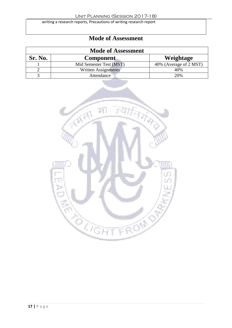writing a research reports, Precautions of writing research report

| <b>Mode of Assessment</b> |                         |                        |
|---------------------------|-------------------------|------------------------|
| Sr. No.                   | <b>Component</b>        | Weightage              |
|                           | Mid Semester Test (MST) | 40% (Average of 2 MST) |
|                           | Written Assignments     | 40%                    |
|                           | Attendance              | 20%                    |

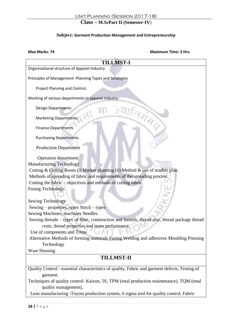#### **Class – M.ScPart II (Semester-IV**)

#### **Subject: Garment Production Management and Entrepreneurship**

#### **Max Marks: 74**

| <b>Maximum Time: 3 Hrs.</b> |  |  |
|-----------------------------|--|--|
|                             |  |  |

| <b>TILLMST-I</b>                                                                                                  |  |  |
|-------------------------------------------------------------------------------------------------------------------|--|--|
| Organisational structure of Apparel Industry                                                                      |  |  |
|                                                                                                                   |  |  |
| Principles of Management -Planning Types and Strategies                                                           |  |  |
| Project Planning and Control.                                                                                     |  |  |
| Working of various departments in apparel industry -                                                              |  |  |
| <b>Design Departments</b>                                                                                         |  |  |
| <b>Marketing Departments</b>                                                                                      |  |  |
| <b>Finance Departments</b>                                                                                        |  |  |
| <b>Purchasing Departments</b>                                                                                     |  |  |
| <b>Production Department</b>                                                                                      |  |  |
| Operation department                                                                                              |  |  |
| <b>Manufacturing Technology</b>                                                                                   |  |  |
| Cutting & Cutting Room (i) Marker planning (ii) Method & use of marker plan.                                      |  |  |
| Methods of spreading of fabric and requirements of the spreading process.                                         |  |  |
| Cutting the fabric – objectives and methods of cutting fabric.                                                    |  |  |
| Fusing Technology.                                                                                                |  |  |
|                                                                                                                   |  |  |
| Sewing Technology                                                                                                 |  |  |
| Sewing - properties, types Stitch - types                                                                         |  |  |
| Sewing Machines, machines Needles.                                                                                |  |  |
| Sewing threads - types of fiber, construction and furnish, thread size, thread package thread                     |  |  |
| costs, thread properties and seam performance.                                                                    |  |  |
| Use of components and Trims                                                                                       |  |  |
| Alternative Methods of forming materials Fusing Welding and adhesives Moulding Pressing                           |  |  |
| Technology                                                                                                        |  |  |
| Ware Housing                                                                                                      |  |  |
| <b>TILLMST-II</b>                                                                                                 |  |  |
| Quality Control - essential characteristics of quality, Fabric and garment defects, Testing of                    |  |  |
|                                                                                                                   |  |  |
| garment.                                                                                                          |  |  |
| Techniques of quality control- Kaizon, 5S, TPM (total production maintenance), TQM (total<br>quality management), |  |  |
| Lean manufacturing -Toyota production system, 6 sigma tool for quality control, Fabric                            |  |  |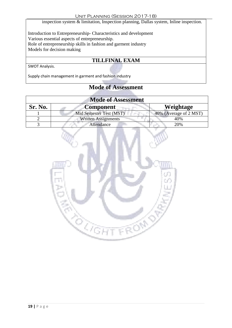inspection system & limitation, Inspection planning, Dallas system, Inline inspection.

Introduction to Entrepreneurship- Characteristics and development Various essential aspects of entrepreneurship. Role of entrepreneurship skills in fashion and garment industry Models for decision making

# **TILLFINAL EXAM**

SWOT Analysis.

Supply chain management in garment and fashion industry

| <b>Mode of Assessment</b> |                            |                        |
|---------------------------|----------------------------|------------------------|
| Sr. No.                   | <b>Component</b>           | Weightage              |
|                           | Mid Semester Test (MST)    | 40% (Average of 2 MST) |
|                           | <b>Written Assignments</b> | 40%                    |
|                           | Attendance                 | 20%                    |

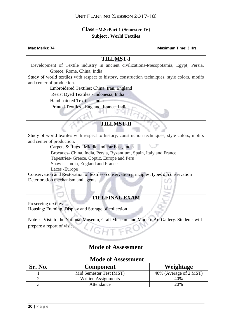#### **Class –M.ScPart 1 (Semester-IV**) **Subject : World Textiles**

#### **Max Marks: 74 Maximum Time: 3 Hrs.**

#### **TILLMST-I**

 Development of Textile industry in ancient civilizations-Mesopotamia, Egypt, Persia, Greece, Rome, China, India Study of world textiles with respect to history, construction techniques, style colors, motifs and center of production. Embroidered Textiles: China, Iran, England Resist Dyed Textiles - Indonesia, India Hand painted Textiles- India Printed Textiles - England, France, India **TILLMST-II** Study of world textiles with respect to history, construction techniques, style colors, motifs and center of production. Carpets & Rugs - Middle and Far East, India Brocades- China, India, Persia, Byzantium, Spain, Italy and France Tapestries- Greece, Coptic, Europe and Peru Shawls - India, England and France Laces -Europe Conservation and Restoration of textiles- conservation principles, types of conservation Deterioration mechanism and agents **TILLFINAL EXAM** Preserving textiles Housing: Framing, Display and Storage of collection Note-: Visit to the National Museum, Craft Museum and Modern Art Gallery. Students will prepare a report of visit .

| <b>Mode of Assessment</b> |                            |                        |
|---------------------------|----------------------------|------------------------|
| Sr. No.                   | <b>Component</b>           | Weightage              |
|                           | Mid Semester Test (MST)    | 40% (Average of 2 MST) |
|                           | <b>Written Assignments</b> | 40%                    |
|                           | Attendance                 | 20%                    |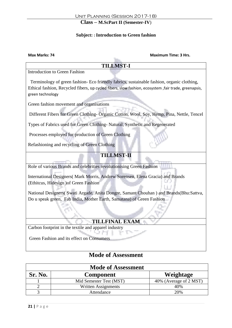#### **Class – M.ScPart II (Semester-IV**)

#### **Subject: : Introduction to Green fashion**

**Max Marks: 74 Maximum Time: 3 Hrs.**

#### **TILLMST-I**

Introduction to Green Fashion

 Terminology of green fashion- Eco friendly fabrics, sustainable fashion, organic clothing, Ethical fashion, Recycled fibers, up cycled fibers, slow fashion, ecosystem ,fair trade, greenapsis, green technology

Green fashion movement and organisations

Different Fibers for Green Clothing- Organic Cotton, Wool, Soy, Hemp, Pina, Nettle, Tencel

Types of Fabrics used for Green Clothing- Natural, Synthetic and Regenerated

Processes employed for production of Green Clothing

Refashioning and recycling of Green Clothing

### **TILLMST-II**

Role of various Brands and celebrities revolutionising Green Fashion

International Designers( Mark Morris, Andrew Sorensen, Elena Gracia) and Brands (Ethitcus, Hidesign )of Green Fashion

National Designers( Swati Argade, Anita Dongre, Samant Chouhan ) and Brands(Bhu:Sattva, Do u speak green, Fab India, Mother Earth, Samatana) of Green Fashion

#### **TILLFINAL EXAM**

Carbon footprint in the textile and apparel industry

Green Fashion and its effect on Consumers

| <b>Mode of Assessment</b> |                         |                        |
|---------------------------|-------------------------|------------------------|
| Sr. No.                   | <b>Component</b>        | Weightage              |
|                           | Mid Semester Test (MST) | 40% (Average of 2 MST) |
|                           | Written Assignments     | 40%                    |
|                           | Attendance              | 20%                    |